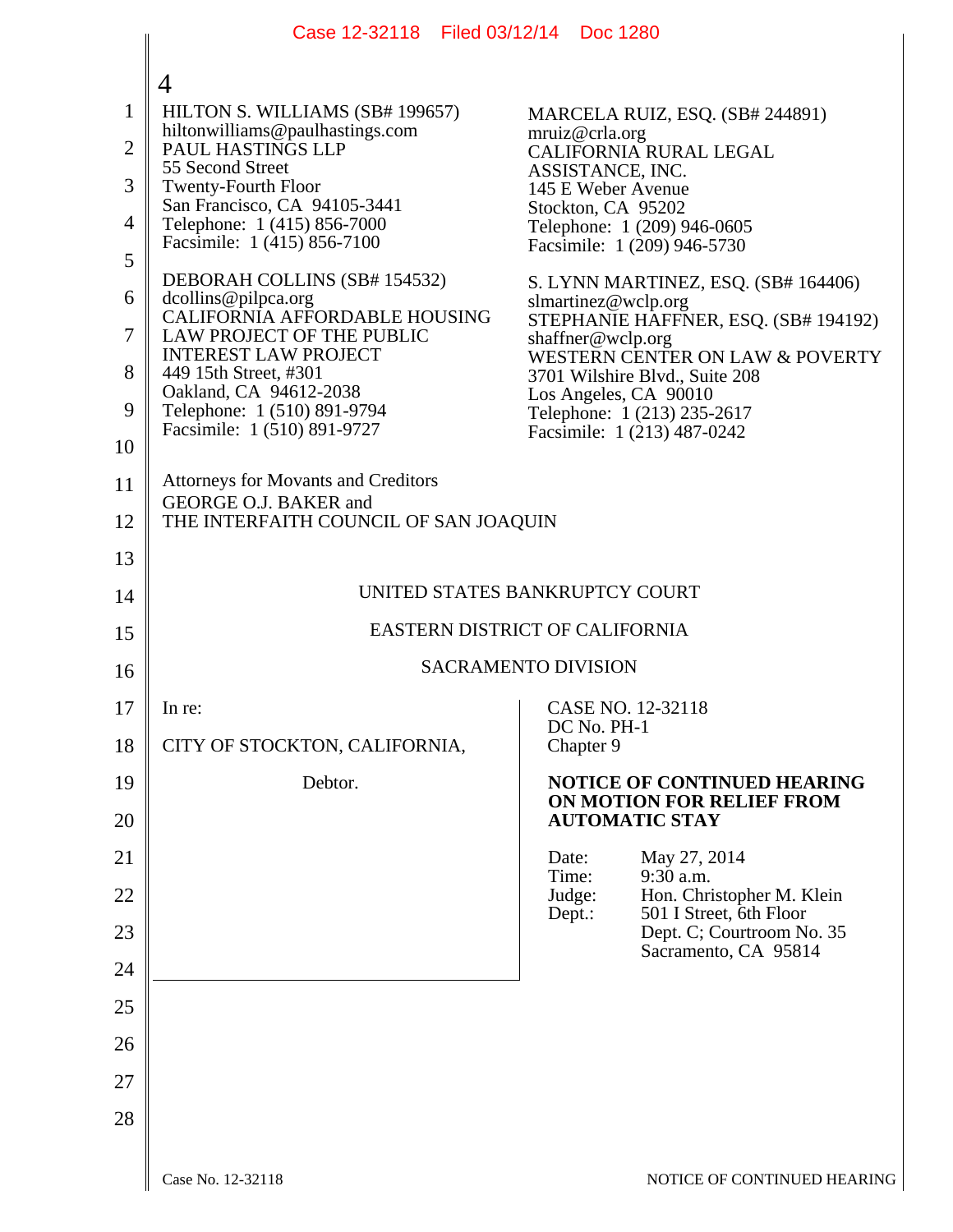|                | Case 12-32118 Filed 03/12/14 Doc 1280                                          |                                                                                        |
|----------------|--------------------------------------------------------------------------------|----------------------------------------------------------------------------------------|
|                |                                                                                |                                                                                        |
| $\mathbf{1}$   | $\overline{4}$<br>HILTON S. WILLIAMS (SB# 199657)                              | MARCELA RUIZ, ESQ. (SB# 244891)                                                        |
| $\overline{2}$ | hiltonwilliams@paulhastings.com<br>PAUL HASTINGS LLP                           | mruiz@crla.org<br>CALIFORNIA RURAL LEGAL                                               |
| 3              | 55 Second Street<br><b>Twenty-Fourth Floor</b>                                 | ASSISTANCE, INC.<br>145 E Weber Avenue                                                 |
| 4              | San Francisco, CA 94105-3441<br>Telephone: 1 (415) 856-7000                    | Stockton, CA 95202                                                                     |
| 5              | Facsimile: 1 (415) 856-7100                                                    | Telephone: 1 (209) 946-0605<br>Facsimile: 1 (209) 946-5730                             |
| 6              | DEBORAH COLLINS (SB# 154532)                                                   | S. LYNN MARTINEZ, ESQ. (SB# 164406)                                                    |
| 7              | dcollins@pilpca.org<br>CALIFORNIA AFFORDABLE HOUSING                           | slmartinez@wclp.org<br>STEPHANIE HAFFNER, ESQ. (SB# 194192)                            |
|                | LAW PROJECT OF THE PUBLIC<br><b>INTEREST LAW PROJECT</b>                       | shaffner@wclp.org<br>WESTERN CENTER ON LAW & POVERTY                                   |
| 8<br>9         | 449 15th Street, #301<br>Oakland, CA 94612-2038<br>Telephone: 1 (510) 891-9794 | 3701 Wilshire Blvd., Suite 208<br>Los Angeles, CA 90010<br>Telephone: 1 (213) 235-2617 |
| 10             | Facsimile: 1 (510) 891-9727                                                    | Facsimile: 1 (213) 487-0242                                                            |
| 11             | <b>Attorneys for Movants and Creditors</b>                                     |                                                                                        |
| 12             | GEORGE O.J. BAKER and<br>THE INTERFAITH COUNCIL OF SAN JOAQUIN                 |                                                                                        |
| 13             |                                                                                |                                                                                        |
| 14             | UNITED STATES BANKRUPTCY COURT                                                 |                                                                                        |
| 15             | EASTERN DISTRICT OF CALIFORNIA                                                 |                                                                                        |
| 16             | <b>SACRAMENTO DIVISION</b>                                                     |                                                                                        |
| 17             | In re:                                                                         | CASE NO. 12-32118<br>DC No. PH-1                                                       |
| 18             | CITY OF STOCKTON, CALIFORNIA,                                                  | Chapter 9                                                                              |
| 19             | Debtor.                                                                        | NOTICE OF CONTINUED HEARING<br>ON MOTION FOR RELIEF FROM                               |
| 20             |                                                                                | <b>AUTOMATIC STAY</b>                                                                  |
| 21             |                                                                                | May 27, 2014<br>Date:<br>Time:<br>$9:30$ a.m.                                          |
| 22             |                                                                                | Judge:<br>Hon. Christopher M. Klein<br>501 I Street, 6th Floor<br>Dept.:               |
| 23             |                                                                                | Dept. C; Courtroom No. 35<br>Sacramento, CA 95814                                      |
| 24             |                                                                                |                                                                                        |
| 25             |                                                                                |                                                                                        |
| 26             |                                                                                |                                                                                        |
| 27             |                                                                                |                                                                                        |
| 28             |                                                                                |                                                                                        |
|                |                                                                                |                                                                                        |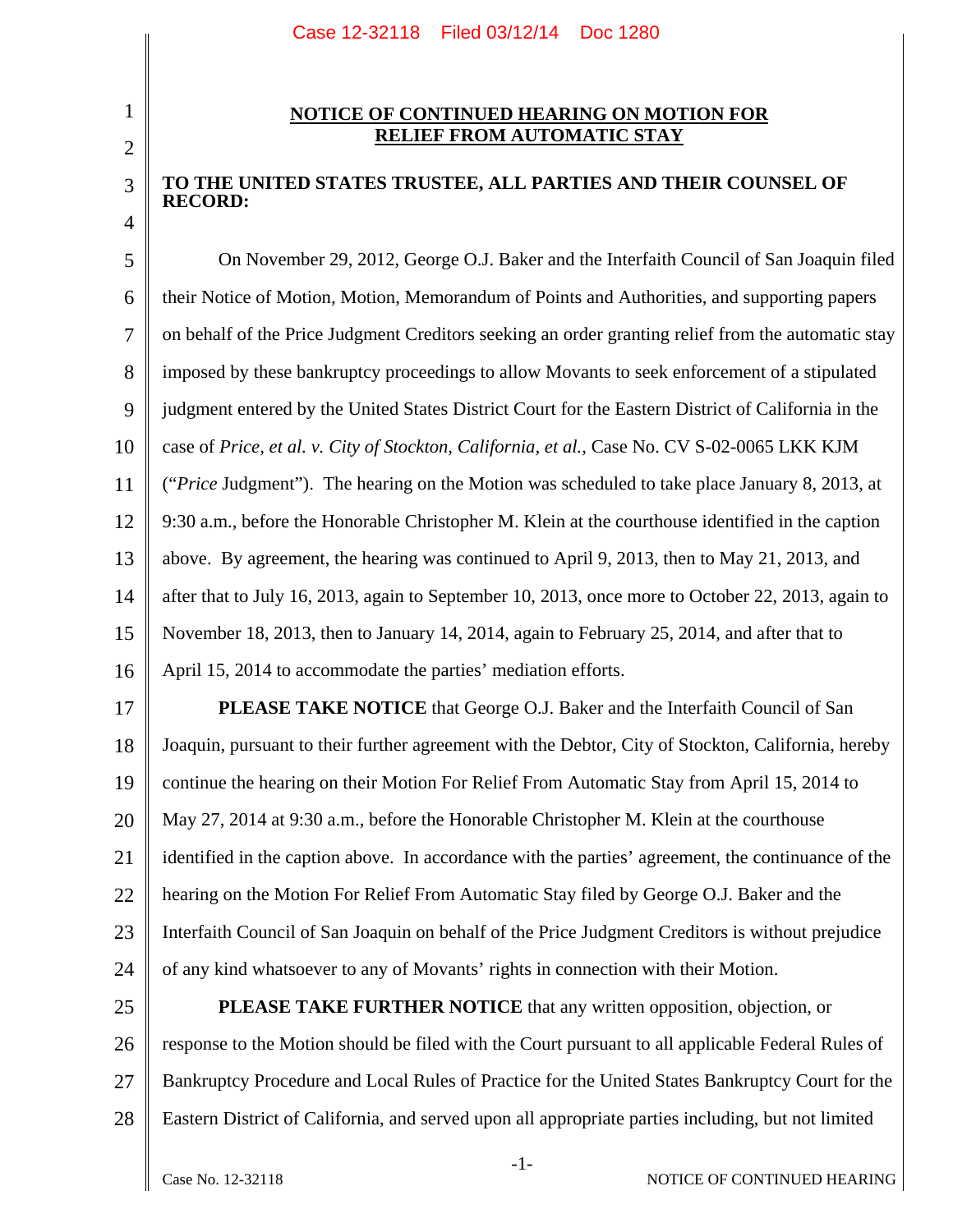## 2

3

4

1

## **NOTICE OF CONTINUED HEARING ON MOTION FOR RELIEF FROM AUTOMATIC STAY**

## **TO THE UNITED STATES TRUSTEE, ALL PARTIES AND THEIR COUNSEL OF RECORD:**

5 6 7 8 9 10 11 12 13 14 15 16 On November 29, 2012, George O.J. Baker and the Interfaith Council of San Joaquin filed their Notice of Motion, Motion, Memorandum of Points and Authorities, and supporting papers on behalf of the Price Judgment Creditors seeking an order granting relief from the automatic stay imposed by these bankruptcy proceedings to allow Movants to seek enforcement of a stipulated judgment entered by the United States District Court for the Eastern District of California in the case of *Price, et al. v. City of Stockton, California, et al.*, Case No. CV S-02-0065 LKK KJM ("*Price* Judgment"). The hearing on the Motion was scheduled to take place January 8, 2013, at 9:30 a.m., before the Honorable Christopher M. Klein at the courthouse identified in the caption above. By agreement, the hearing was continued to April 9, 2013, then to May 21, 2013, and after that to July 16, 2013, again to September 10, 2013, once more to October 22, 2013, again to November 18, 2013, then to January 14, 2014, again to February 25, 2014, and after that to April 15, 2014 to accommodate the parties' mediation efforts.

17 18 19 20 21 22 23 24 **PLEASE TAKE NOTICE** that George O.J. Baker and the Interfaith Council of San Joaquin, pursuant to their further agreement with the Debtor, City of Stockton, California, hereby continue the hearing on their Motion For Relief From Automatic Stay from April 15, 2014 to May 27, 2014 at 9:30 a.m., before the Honorable Christopher M. Klein at the courthouse identified in the caption above. In accordance with the parties' agreement, the continuance of the hearing on the Motion For Relief From Automatic Stay filed by George O.J. Baker and the Interfaith Council of San Joaquin on behalf of the Price Judgment Creditors is without prejudice of any kind whatsoever to any of Movants' rights in connection with their Motion.

25 26 27 28 **PLEASE TAKE FURTHER NOTICE** that any written opposition, objection, or response to the Motion should be filed with the Court pursuant to all applicable Federal Rules of Bankruptcy Procedure and Local Rules of Practice for the United States Bankruptcy Court for the Eastern District of California, and served upon all appropriate parties including, but not limited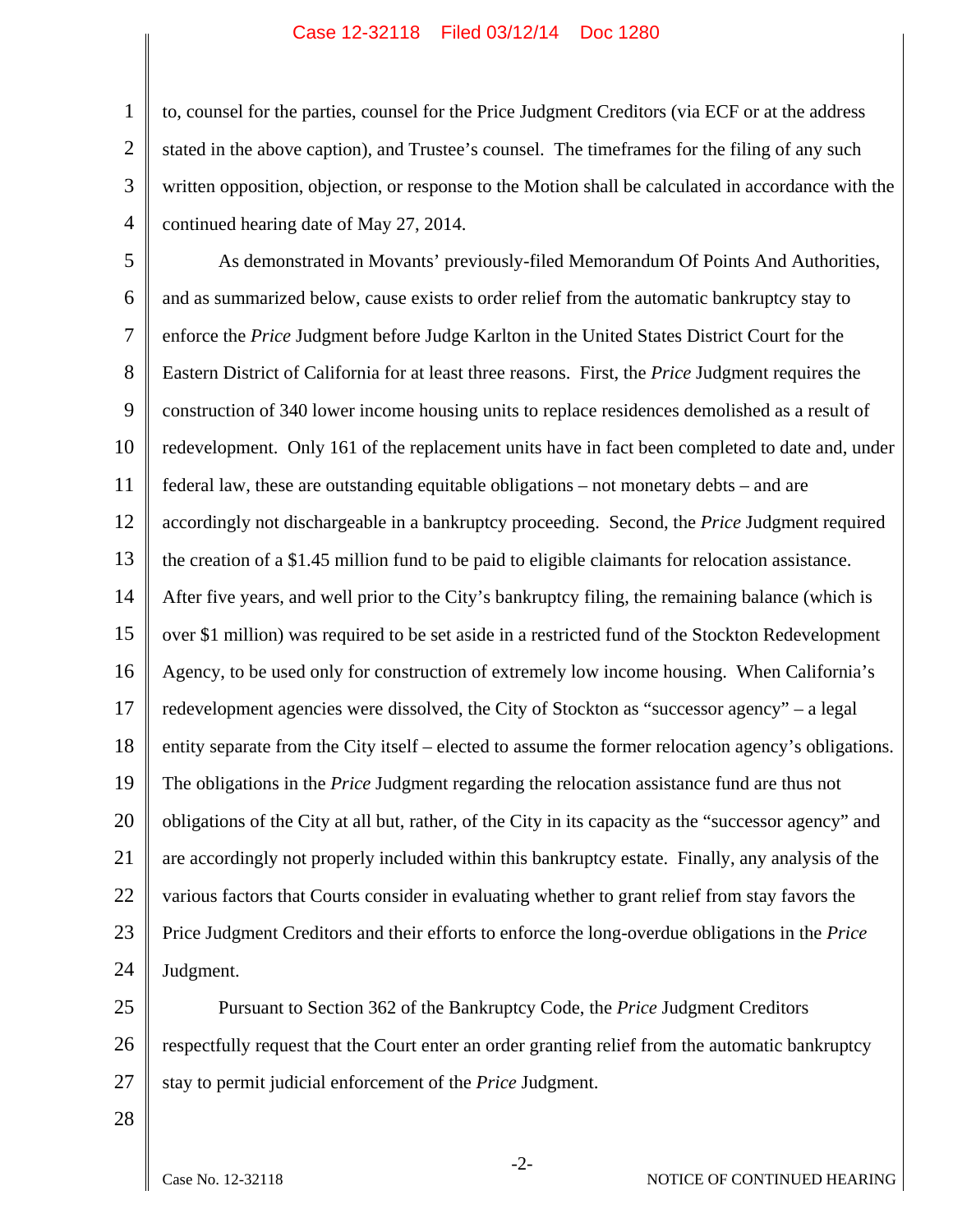## Case 12-32118 Filed 03/12/14 Doc 1280

1 2 3 4 to, counsel for the parties, counsel for the Price Judgment Creditors (via ECF or at the address stated in the above caption), and Trustee's counsel. The timeframes for the filing of any such written opposition, objection, or response to the Motion shall be calculated in accordance with the continued hearing date of May 27, 2014.

5 6 7 8 9 10 11 12 13 14 15 16 17 18 19 20 21 22 23 24 As demonstrated in Movants' previously-filed Memorandum Of Points And Authorities, and as summarized below, cause exists to order relief from the automatic bankruptcy stay to enforce the *Price* Judgment before Judge Karlton in the United States District Court for the Eastern District of California for at least three reasons. First, the *Price* Judgment requires the construction of 340 lower income housing units to replace residences demolished as a result of redevelopment. Only 161 of the replacement units have in fact been completed to date and, under federal law, these are outstanding equitable obligations – not monetary debts – and are accordingly not dischargeable in a bankruptcy proceeding. Second, the *Price* Judgment required the creation of a \$1.45 million fund to be paid to eligible claimants for relocation assistance. After five years, and well prior to the City's bankruptcy filing, the remaining balance (which is over \$1 million) was required to be set aside in a restricted fund of the Stockton Redevelopment Agency, to be used only for construction of extremely low income housing. When California's redevelopment agencies were dissolved, the City of Stockton as "successor agency" – a legal entity separate from the City itself – elected to assume the former relocation agency's obligations. The obligations in the *Price* Judgment regarding the relocation assistance fund are thus not obligations of the City at all but, rather, of the City in its capacity as the "successor agency" and are accordingly not properly included within this bankruptcy estate. Finally, any analysis of the various factors that Courts consider in evaluating whether to grant relief from stay favors the Price Judgment Creditors and their efforts to enforce the long-overdue obligations in the *Price* Judgment.

25 26 27 Pursuant to Section 362 of the Bankruptcy Code, the *Price* Judgment Creditors respectfully request that the Court enter an order granting relief from the automatic bankruptcy stay to permit judicial enforcement of the *Price* Judgment.

28

NOTICE OF CONTINUED HEARING